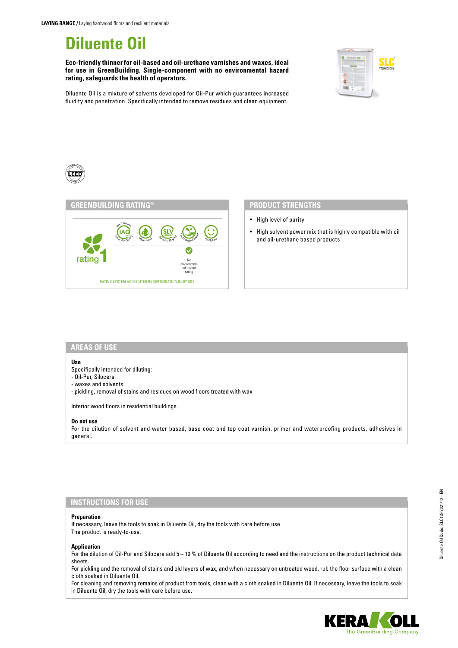# **Diluente Oil**

**Eco-friendly thinner for oil-based and oil-urethane varnishes and waxes, ideal for use in GreenBuilding. Single-component with no environmental hazard rating, safeguards the health of operators.**



Diluente Oil is a mixture of solvents developed for Oil-Pur which guarantees increased fluidity and penetration. Specifically intended to remove residues and clean equipment.





- High level of purity
- High solvent power mix that is highly compatible with oil and oil-urethane based products

#### **AREAS OF USE**

#### **Use**

Specifically intended for diluting:

- Oil-Pur, Silocera
- waxes and solvents
- pickling, removal of stains and residues on wood floors treated with wax

Interior wood floors in residential buildings.

#### **Do not use**

For the dilution of solvent and water based, base coat and top coat varnish, primer and waterproofing products, adhesives in general.

### **INSTRUCTIONS FOR USE**

#### **Preparation**

If necessary, leave the tools to soak in Diluente Oil, dry the tools with care before use The product is ready-to-use.

#### **Application**

For the dilution of Oil-Pur and Silocera add 5 – 10 % of Diluente Oil according to need and the instructions on the product technical data sheets.

For pickling and the removal of stains and old layers of wax, and when necessary on untreated wood, rub the floor surface with a clean cloth soaked in Diluente Oil.

For cleaning and removing remains of product from tools, clean with a cloth soaked in Diluente Oil. If necessary, leave the tools to soak in Diluente Oil, dry the tools with care before use.